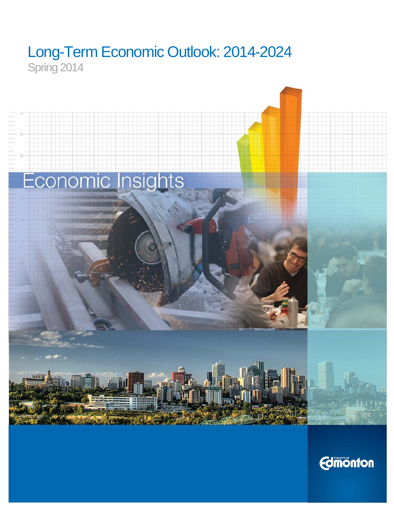# Long-Term Economic Outlook: 2014-2024 Spring 2014



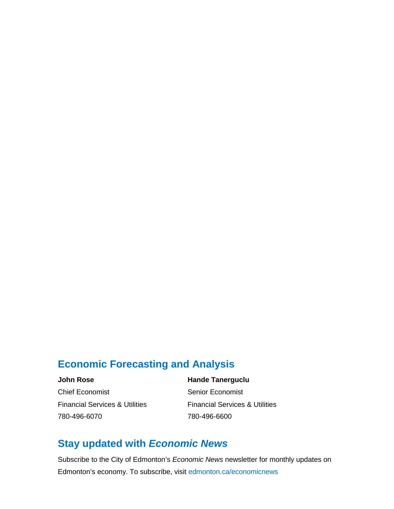## **Economic Forecasting and Analysis**

**John Rose Hande Tanerguclu**

**Chief Economist Senior Economist** Financial Services & Utilities Financial Services & Utilities 780-496-6070 780-496-6600

# **Stay updated with** *Economic News*

Subscribe to the City of Edmonton's *Economic News* newsletter for monthly updates on Edmonton's economy. To subscribe, visit [edmonton.ca/economicnews](http://www.edmonton.ca/economicnews)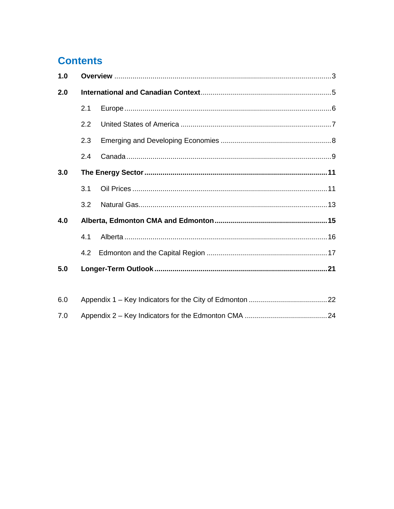# **Contents**

| 1.0 |     |  |  |  |  |  |  |  |  |  |  |
|-----|-----|--|--|--|--|--|--|--|--|--|--|
| 2.0 |     |  |  |  |  |  |  |  |  |  |  |
|     | 2.1 |  |  |  |  |  |  |  |  |  |  |
|     | 2.2 |  |  |  |  |  |  |  |  |  |  |
|     | 2.3 |  |  |  |  |  |  |  |  |  |  |
|     | 2.4 |  |  |  |  |  |  |  |  |  |  |
| 3.0 |     |  |  |  |  |  |  |  |  |  |  |
|     | 3.1 |  |  |  |  |  |  |  |  |  |  |
|     | 3.2 |  |  |  |  |  |  |  |  |  |  |
| 4.0 |     |  |  |  |  |  |  |  |  |  |  |
|     | 4.1 |  |  |  |  |  |  |  |  |  |  |
|     | 4.2 |  |  |  |  |  |  |  |  |  |  |
| 5.0 |     |  |  |  |  |  |  |  |  |  |  |
|     |     |  |  |  |  |  |  |  |  |  |  |
| 6.0 |     |  |  |  |  |  |  |  |  |  |  |
| 7.0 |     |  |  |  |  |  |  |  |  |  |  |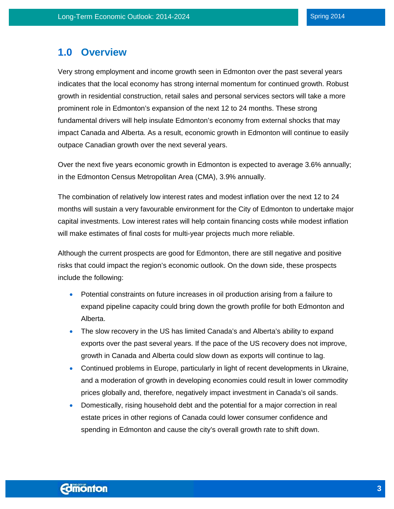### <span id="page-3-0"></span>**1.0 Overview**

Very strong employment and income growth seen in Edmonton over the past several years indicates that the local economy has strong internal momentum for continued growth. Robust growth in residential construction, retail sales and personal services sectors will take a more prominent role in Edmonton's expansion of the next 12 to 24 months. These strong fundamental drivers will help insulate Edmonton's economy from external shocks that may impact Canada and Alberta. As a result, economic growth in Edmonton will continue to easily outpace Canadian growth over the next several years.

Over the next five years economic growth in Edmonton is expected to average 3.6% annually; in the Edmonton Census Metropolitan Area (CMA), 3.9% annually.

The combination of relatively low interest rates and modest inflation over the next 12 to 24 months will sustain a very favourable environment for the City of Edmonton to undertake major capital investments. Low interest rates will help contain financing costs while modest inflation will make estimates of final costs for multi-year projects much more reliable.

Although the current prospects are good for Edmonton, there are still negative and positive risks that could impact the region's economic outlook. On the down side, these prospects include the following:

- Potential constraints on future increases in oil production arising from a failure to expand pipeline capacity could bring down the growth profile for both Edmonton and Alberta.
- The slow recovery in the US has limited Canada's and Alberta's ability to expand exports over the past several years. If the pace of the US recovery does not improve, growth in Canada and Alberta could slow down as exports will continue to lag.
- Continued problems in Europe, particularly in light of recent developments in Ukraine, and a moderation of growth in developing economies could result in lower commodity prices globally and, therefore, negatively impact investment in Canada's oil sands.
- Domestically, rising household debt and the potential for a major correction in real estate prices in other regions of Canada could lower consumer confidence and spending in Edmonton and cause the city's overall growth rate to shift down.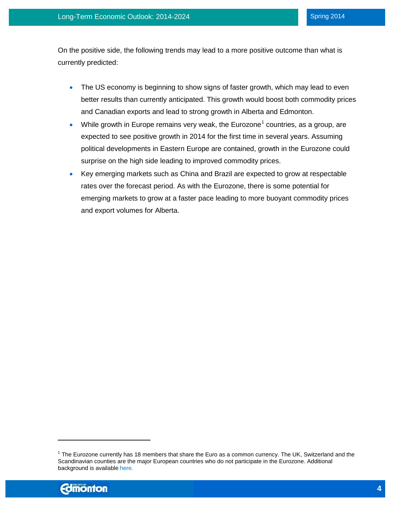On the positive side, the following trends may lead to a more positive outcome than what is currently predicted:

- The US economy is beginning to show signs of faster growth, which may lead to even better results than currently anticipated. This growth would boost both commodity prices and Canadian exports and lead to strong growth in Alberta and Edmonton.
- While growth in Europe remains very weak, the Eurozone<sup>[1](#page-4-0)</sup> countries, as a group, are expected to see positive growth in 2014 for the first time in several years. Assuming political developments in Eastern Europe are contained, growth in the Eurozone could surprise on the high side leading to improved commodity prices.
- Key emerging markets such as China and Brazil are expected to grow at respectable rates over the forecast period. As with the Eurozone, there is some potential for emerging markets to grow at a faster pace leading to more buoyant commodity prices and export volumes for Alberta.

<span id="page-4-0"></span> $1$  The Eurozone currently has 18 members that share the Euro as a common currency. The UK, Switzerland and the Scandinavian counties are the major European countries who do not participate in the Eurozone. Additional background is available [here.](http://www.eurozone.europa.eu/euro-area/euro-area-member-states/)



 $\overline{\phantom{a}}$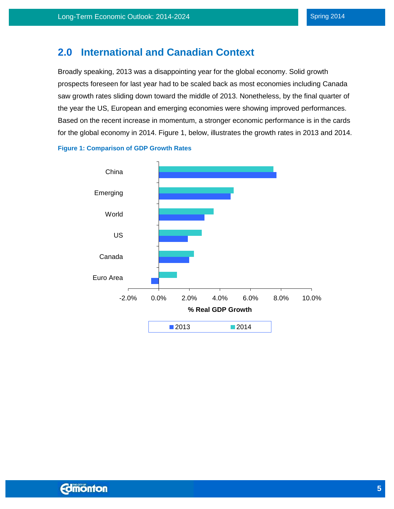### <span id="page-5-0"></span>**2.0 International and Canadian Context**

Broadly speaking, 2013 was a disappointing year for the global economy. Solid growth prospects foreseen for last year had to be scaled back as most economies including Canada saw growth rates sliding down toward the middle of 2013. Nonetheless, by the final quarter of the year the US, European and emerging economies were showing improved performances. Based on the recent increase in momentum, a stronger economic performance is in the cards for the global economy in 2014. Figure 1, below, illustrates the growth rates in 2013 and 2014.



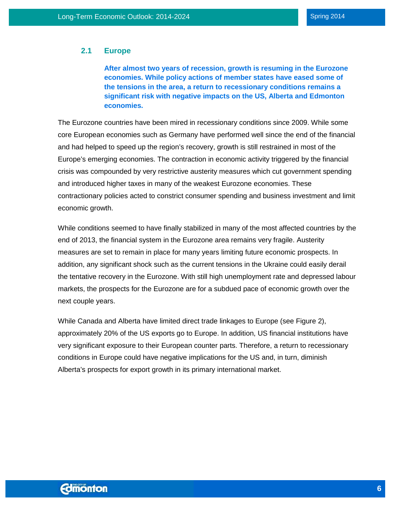#### <span id="page-6-0"></span>**2.1 Europe**

**After almost two years of recession, growth is resuming in the Eurozone economies. While policy actions of member states have eased some of the tensions in the area, a return to recessionary conditions remains a significant risk with negative impacts on the US, Alberta and Edmonton economies.**

The Eurozone countries have been mired in recessionary conditions sin*c*e 2009. While some core European economies such as Germany have performed well since the end of the financial and had helped to speed up the region's recovery, growth is still restrained in most of the Europe's emerging economies. The contraction in economic activity triggered by the financial crisis was compounded by very restrictive austerity measures which cut government spending and introduced higher taxes in many of the weakest Eurozone economies. These contractionary policies acted to constrict consumer spending and business investment and limit economic growth.

While conditions seemed to have finally stabilized in many of the most affected countries by the end of 2013, the financial system in the Eurozone area remains very fragile. Austerity measures are set to remain in place for many years limiting future economic prospects. In addition, any significant shock such as the current tensions in the Ukraine could easily derail the tentative recovery in the Eurozone. With still high unemployment rate and depressed labour markets, the prospects for the Eurozone are for a subdued pace of economic growth over the next couple years.

While Canada and Alberta have limited direct trade linkages to Europe (see Figure 2), approximately 20% of the US exports go to Europe. In addition, US financial institutions have very significant exposure to their European counter parts. Therefore, a return to recessionary conditions in Europe could have negative implications for the US and, in turn, diminish Alberta's prospects for export growth in its primary international market.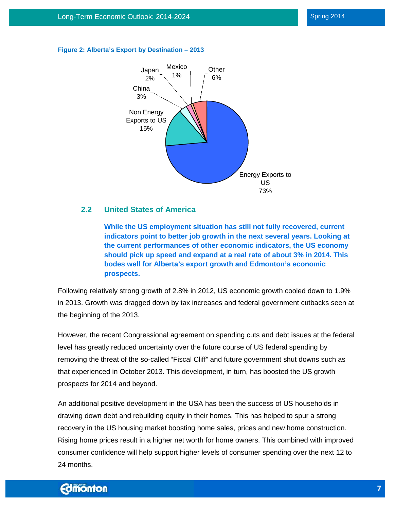

#### **Figure 2: Alberta's Export by Destination – 2013**

#### <span id="page-7-0"></span>**2.2 United States of America**

**While the US employment situation has still not fully recovered, current indicators point to better job growth in the next several years. Looking at the current performances of other economic indicators, the US economy should pick up speed and expand at a real rate of about 3% in 2014. This bodes well for Alberta's export growth and Edmonton's economic prospects.**

Following relatively strong growth of 2.8% in 2012, US economic growth cooled down to 1.9% in 2013. Growth was dragged down by tax increases and federal government cutbacks seen at the beginning of the 2013.

However, the recent Congressional agreement on spending cuts and debt issues at the federal level has greatly reduced uncertainty over the future course of US federal spending by removing the threat of the so-called "Fiscal Cliff" and future government shut downs such as that experienced in October 2013. This development, in turn, has boosted the US growth prospects for 2014 and beyond.

An additional positive development in the USA has been the success of US households in drawing down debt and rebuilding equity in their homes. This has helped to spur a strong recovery in the US housing market boosting home sales, prices and new home construction. Rising home prices result in a higher net worth for home owners. This combined with improved consumer confidence will help support higher levels of consumer spending over the next 12 to 24 months.

### **Edmonton**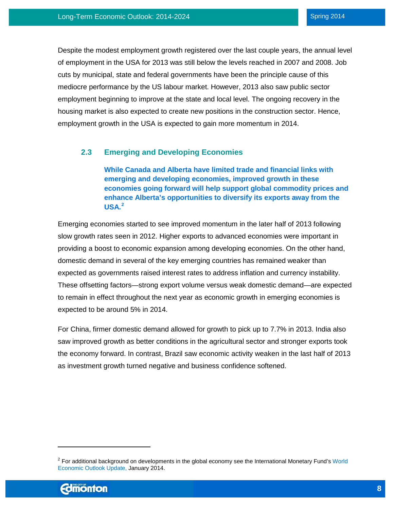Despite the modest employment growth registered over the last couple years, the annual level of employment in the USA for 2013 was still below the levels reached in 2007 and 2008. Job cuts by municipal, state and federal governments have been the principle cause of this mediocre performance by the US labour market. However, 2013 also saw public sector employment beginning to improve at the state and local level. The ongoing recovery in the housing market is also expected to create new positions in the construction sector. Hence, employment growth in the USA is expected to gain more momentum in 2014.

### <span id="page-8-0"></span>**2.3 Emerging and Developing Economies**

**While Canada and Alberta have limited trade and financial links with emerging and developing economies, improved growth in these economies going forward will help support global commodity prices and enhance Alberta's opportunities to diversify its exports away from the USA. [2](#page-8-1)**

Emerging economies started to see improved momentum in the later half of 2013 following slow growth rates seen in 2012. Higher exports to advanced economies were important in providing a boost to economic expansion among developing economies. On the other hand, domestic demand in several of the key emerging countries has remained weaker than expected as governments raised interest rates to address inflation and currency instability. These offsetting factors—strong export volume versus weak domestic demand—are expected to remain in effect throughout the next year as economic growth in emerging economies is expected to be around 5% in 2014.

For China, firmer domestic demand allowed for growth to pick up to 7.7% in 2013. India also saw improved growth as better conditions in the agricultural sector and stronger exports took the economy forward. In contrast, Brazil saw economic activity weaken in the last half of 2013 as investment growth turned negative and business confidence softened.

 $\overline{\phantom{a}}$ 

<span id="page-8-1"></span> $2$  For additional background on developments in the global economy see the International Monetary Fund's World [Economic Outlook Update,](http://www.imf.org/external/pubs/ft/weo/2014/update/01/pdf/0114.pdf) January 2014.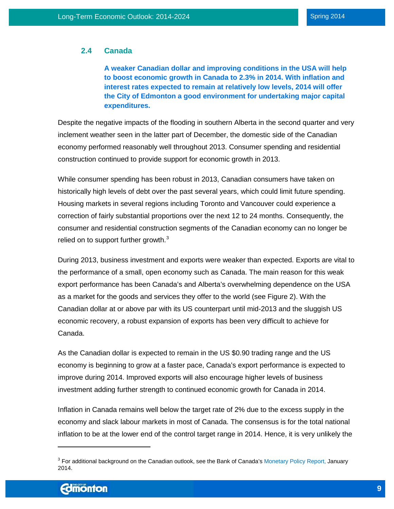#### <span id="page-9-0"></span>**2.4 Canada**

**A weaker Canadian dollar and improving conditions in the USA will help to boost economic growth in Canada to 2.3% in 2014. With inflation and interest rates expected to remain at relatively low levels, 2014 will offer the City of Edmonton a good environment for undertaking major capital expenditures.**

Despite the negative impacts of the flooding in southern Alberta in the second quarter and very inclement weather seen in the latter part of December, the domestic side of the Canadian economy performed reasonably well throughout 2013. Consumer spending and residential construction continued to provide support for economic growth in 2013.

While consumer spending has been robust in 2013, Canadian consumers have taken on historically high levels of debt over the past several years, which could limit future spending. Housing markets in several regions including Toronto and Vancouver could experience a correction of fairly substantial proportions over the next 12 to 24 months. Consequently, the consumer and residential construction segments of the Canadian economy can no longer be relied on to support further growth. $^3$  $^3$ 

During 2013, business investment and exports were weaker than expected. Exports are vital to the performance of a small, open economy such as Canada. The main reason for this weak export performance has been Canada's and Alberta's overwhelming dependence on the USA as a market for the goods and services they offer to the world (see Figure 2). With the Canadian dollar at or above par with its US counterpart until mid-2013 and the sluggish US economic recovery, a robust expansion of exports has been very difficult to achieve for Canada.

As the Canadian dollar is expected to remain in the US \$0.90 trading range and the US economy is beginning to grow at a faster pace, Canada's export performance is expected to improve during 2014. Improved exports will also encourage higher levels of business investment adding further strength to continued economic growth for Canada in 2014.

Inflation in Canada remains well below the target rate of 2% due to the excess supply in the economy and slack labour markets in most of Canada. The consensus is for the total national inflation to be at the lower end of the control target range in 2014. Hence, it is very unlikely the

 $\overline{\phantom{a}}$ 

<span id="page-9-1"></span><sup>&</sup>lt;sup>3</sup> For additional background on the Canadian outlook, see the Bank of Canada'[s Monetary Policy Report,](http://www.bankofcanada.ca/publications-research/periodicals/mpr/) January 2014.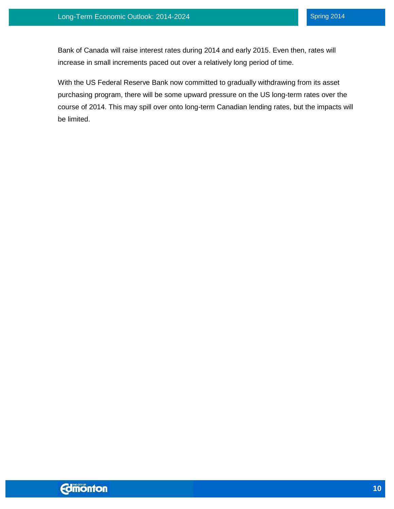Bank of Canada will raise interest rates during 2014 and early 2015. Even then, rates will increase in small increments paced out over a relatively long period of time.

With the US Federal Reserve Bank now committed to gradually withdrawing from its asset purchasing program, there will be some upward pressure on the US long-term rates over the course of 2014. This may spill over onto long-term Canadian lending rates, but the impacts will be limited.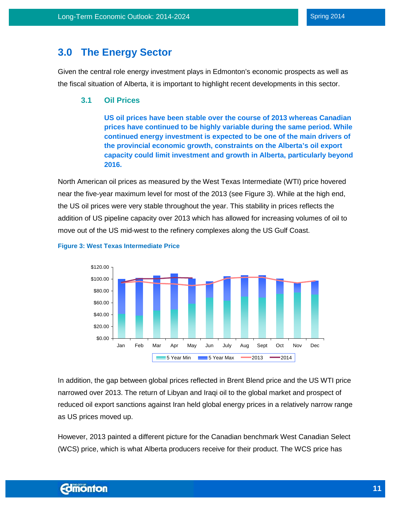### <span id="page-11-0"></span>**3.0 The Energy Sector**

Given the central role energy investment plays in Edmonton's economic prospects as well as the fiscal situation of Alberta, it is important to highlight recent developments in this sector.

#### <span id="page-11-1"></span>**3.1 Oil Prices**

**US oil prices have been stable over the course of 2013 whereas Canadian prices have continued to be highly variable during the same period. While continued energy investment is expected to be one of the main drivers of the provincial economic growth, constraints on the Alberta's oil export capacity could limit investment and growth in Alberta, particularly beyond 2016.**

North American oil prices as measured by the West Texas Intermediate (WTI) price hovered near the five-year maximum level for most of the 2013 (see Figure 3). While at the high end, the US oil prices were very stable throughout the year. This stability in prices reflects the addition of US pipeline capacity over 2013 which has allowed for increasing volumes of oil to move out of the US mid-west to the refinery complexes along the US Gulf Coast.



#### **Figure 3: West Texas Intermediate Price**

In addition, the gap between global prices reflected in Brent Blend price and the US WTI price narrowed over 2013. The return of Libyan and Iraqi oil to the global market and prospect of reduced oil export sanctions against Iran held global energy prices in a relatively narrow range as US prices moved up.

However, 2013 painted a different picture for the Canadian benchmark West Canadian Select (WCS) price, which is what Alberta producers receive for their product. The WCS price has

### **Edmonton**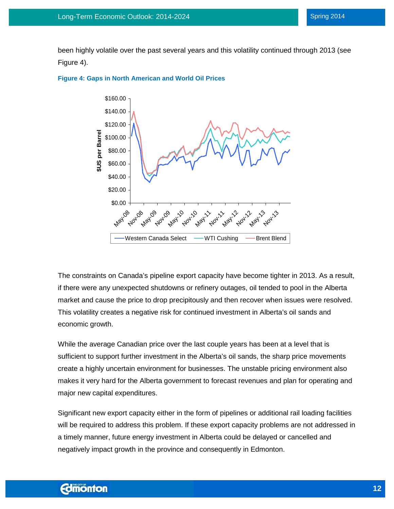been highly volatile over the past several years and this volatility continued through 2013 (see Figure 4).





The constraints on Canada's pipeline export capacity have become tighter in 2013. As a result, if there were any unexpected shutdowns or refinery outages, oil tended to pool in the Alberta market and cause the price to drop precipitously and then recover when issues were resolved. This volatility creates a negative risk for continued investment in Alberta's oil sands and economic growth.

While the average Canadian price over the last couple years has been at a level that is sufficient to support further investment in the Alberta's oil sands, the sharp price movements create a highly uncertain environment for businesses. The unstable pricing environment also makes it very hard for the Alberta government to forecast revenues and plan for operating and major new capital expenditures.

Significant new export capacity either in the form of pipelines or additional rail loading facilities will be required to address this problem. If these export capacity problems are not addressed in a timely manner, future energy investment in Alberta could be delayed or cancelled and negatively impact growth in the province and consequently in Edmonton.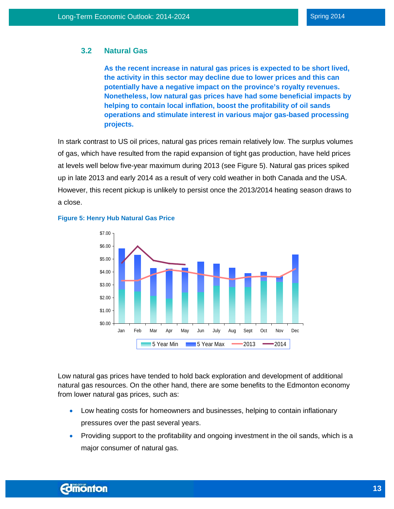#### <span id="page-13-0"></span>**3.2 Natural Gas**

**As the recent increase in natural gas prices is expected to be short lived, the activity in this sector may decline due to lower prices and this can potentially have a negative impact on the province's royalty revenues. Nonetheless, low natural gas prices have had some beneficial impacts by helping to contain local inflation, boost the profitability of oil sands operations and stimulate interest in various major gas-based processing projects.**

In stark contrast to US oil prices, natural gas prices remain relatively low. The surplus volumes of gas, which have resulted from the rapid expansion of tight gas production, have held prices at levels well below five-year maximum during 2013 (see Figure 5). Natural gas prices spiked up in late 2013 and early 2014 as a result of very cold weather in both Canada and the USA. However, this recent pickup is unlikely to persist once the 2013/2014 heating season draws to a close.



#### **Figure 5: Henry Hub Natural Gas Price**

Low natural gas prices have tended to hold back exploration and development of additional natural gas resources. On the other hand, there are some benefits to the Edmonton economy from lower natural gas prices, such as:

- Low heating costs for homeowners and businesses, helping to contain inflationary pressures over the past several years.
- Providing support to the profitability and ongoing investment in the oil sands, which is a major consumer of natural gas.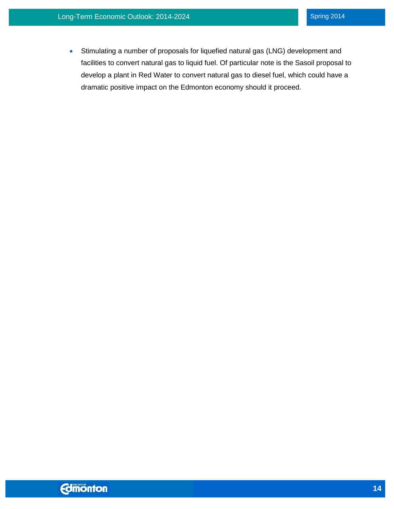<span id="page-14-0"></span>• Stimulating a number of proposals for liquefied natural gas (LNG) development and facilities to convert natural gas to liquid fuel. Of particular note is the Sasoil proposal to develop a plant in Red Water to convert natural gas to diesel fuel, which could have a dramatic positive impact on the Edmonton economy should it proceed.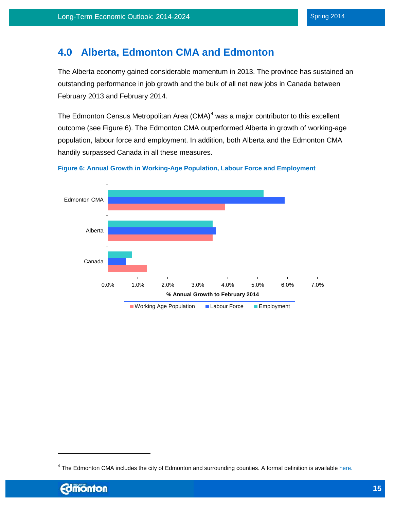### **4.0 Alberta, Edmonton CMA and Edmonton**

The Alberta economy gained considerable momentum in 2013. The province has sustained an outstanding performance in job growth and the bulk of all net new jobs in Canada between February 2013 and February 2014.

The Edmonton Census Metropolitan Area  $(CMA)^4$  $(CMA)^4$  was a major contributor to this excellent outcome (see Figure 6). The Edmonton CMA outperformed Alberta in growth of working-age population, labour force and employment. In addition, both Alberta and the Edmonton CMA handily surpassed Canada in all these measures.



**Figure 6: Annual Growth in Working-Age Population, Labour Force and Employment**

l

<span id="page-15-0"></span> $4$  The Edmonton CMA includes the city of Edmonton and surrounding counties. A formal definition is available here.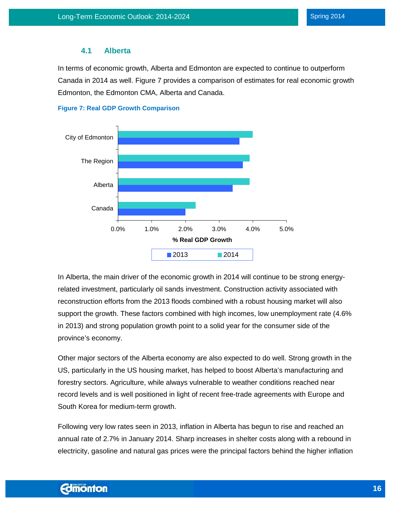#### **4.1 Alberta**

<span id="page-16-0"></span>In terms of economic growth, Alberta and Edmonton are expected to continue to outperform Canada in 2014 as well. Figure 7 provides a comparison of estimates for real economic growth Edmonton, the Edmonton CMA, Alberta and Canada.





In Alberta, the main driver of the economic growth in 2014 will continue to be strong energyrelated investment, particularly oil sands investment. Construction activity associated with reconstruction efforts from the 2013 floods combined with a robust housing market will also support the growth. These factors combined with high incomes, low unemployment rate (4.6% in 2013) and strong population growth point to a solid year for the consumer side of the province's economy.

Other major sectors of the Alberta economy are also expected to do well. Strong growth in the US, particularly in the US housing market, has helped to boost Alberta's manufacturing and forestry sectors. Agriculture, while always vulnerable to weather conditions reached near record levels and is well positioned in light of recent free-trade agreements with Europe and South Korea for medium-term growth.

Following very low rates seen in 2013, inflation in Alberta has begun to rise and reached an annual rate of 2.7% in January 2014. Sharp increases in shelter costs along with a rebound in electricity, gasoline and natural gas prices were the principal factors behind the higher inflation

### **Edmonton**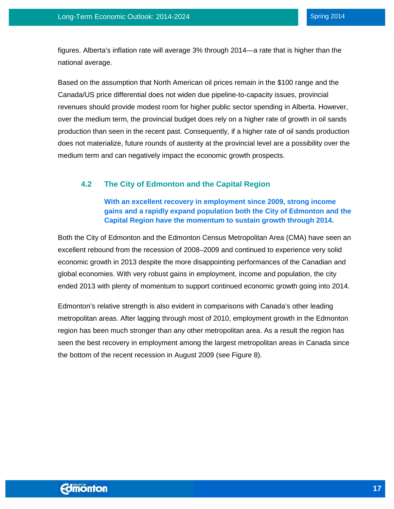figures. Alberta's inflation rate will average 3% through 2014—a rate that is higher than the national average.

Based on the assumption that North American oil prices remain in the \$100 range and the Canada/US price differential does not widen due pipeline-to-capacity issues, provincial revenues should provide modest room for higher public sector spending in Alberta. However, over the medium term, the provincial budget does rely on a higher rate of growth in oil sands production than seen in the recent past. Consequently, if a higher rate of oil sands production does not materialize, future rounds of austerity at the provincial level are a possibility over the medium term and can negatively impact the economic growth prospects.

### <span id="page-17-0"></span>**4.2 The City of Edmonton and the Capital Region**

#### **With an excellent recovery in employment since 2009, strong income gains and a rapidly expand population both the City of Edmonton and the Capital Region have the momentum to sustain growth through 2014.**

Both the City of Edmonton and the Edmonton Census Metropolitan Area (CMA) have seen an excellent rebound from the recession of 2008–2009 and continued to experience very solid economic growth in 2013 despite the more disappointing performances of the Canadian and global economies. With very robust gains in employment, income and population, the city ended 2013 with plenty of momentum to support continued economic growth going into 2014.

Edmonton's relative strength is also evident in comparisons with Canada's other leading metropolitan areas. After lagging through most of 2010, employment growth in the Edmonton region has been much stronger than any other metropolitan area. As a result the region has seen the best recovery in employment among the largest metropolitan areas in Canada since the bottom of the recent recession in August 2009 (see Figure 8).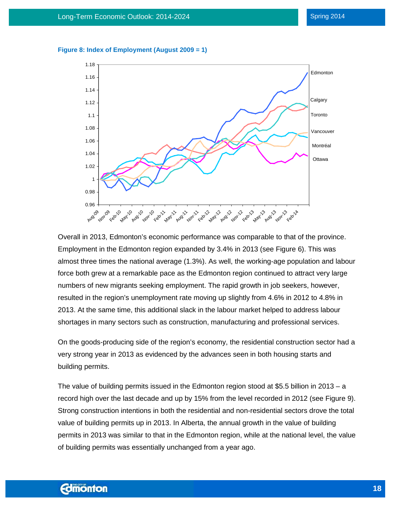#### **Figure 8: Index of Employment (August 2009 = 1)**



Overall in 2013, Edmonton's economic performance was comparable to that of the province. Employment in the Edmonton region expanded by 3.4% in 2013 (see Figure 6). This was almost three times the national average (1.3%). As well, the working-age population and labour force both grew at a remarkable pace as the Edmonton region continued to attract very large numbers of new migrants seeking employment. The rapid growth in job seekers, however, resulted in the region's unemployment rate moving up slightly from 4.6% in 2012 to 4.8% in 2013. At the same time, this additional slack in the labour market helped to address labour shortages in many sectors such as construction, manufacturing and professional services.

On the goods-producing side of the region's economy, the residential construction sector had a very strong year in 2013 as evidenced by the advances seen in both housing starts and building permits.

The value of building permits issued in the Edmonton region stood at \$5.5 billion in 2013 – a record high over the last decade and up by 15% from the level recorded in 2012 (see Figure 9). Strong construction intentions in both the residential and non-residential sectors drove the total value of building permits up in 2013. In Alberta, the annual growth in the value of building permits in 2013 was similar to that in the Edmonton region, while at the national level, the value of building permits was essentially unchanged from a year ago.

### **Edmonton**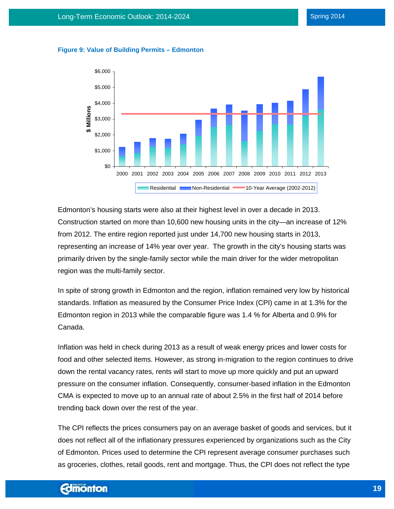

#### **Figure 9: Value of Building Permits – Edmonton**

Edmonton's housing starts were also at their highest level in over a decade in 2013. Construction started on more than 10,600 new housing units in the city—an increase of 12% from 2012. The entire region reported just under 14,700 new housing starts in 2013, representing an increase of 14% year over year. The growth in the city's housing starts was primarily driven by the single-family sector while the main driver for the wider metropolitan region was the multi-family sector.

In spite of strong growth in Edmonton and the region, inflation remained very low by historical standards. Inflation as measured by the Consumer Price Index (CPI) came in at 1.3% for the Edmonton region in 2013 while the comparable figure was 1.4 % for Alberta and 0.9% for Canada.

Inflation was held in check during 2013 as a result of weak energy prices and lower costs for food and other selected items. However, as strong in-migration to the region continues to drive down the rental vacancy rates, rents will start to move up more quickly and put an upward pressure on the consumer inflation. Consequently, consumer-based inflation in the Edmonton CMA is expected to move up to an annual rate of about 2.5% in the first half of 2014 before trending back down over the rest of the year.

The CPI reflects the prices consumers pay on an average basket of goods and services, but it does not reflect all of the inflationary pressures experienced by organizations such as the City of Edmonton. Prices used to determine the CPI represent average consumer purchases such as groceries, clothes, retail goods, rent and mortgage. Thus, the CPI does not reflect the type

### **Edmonton**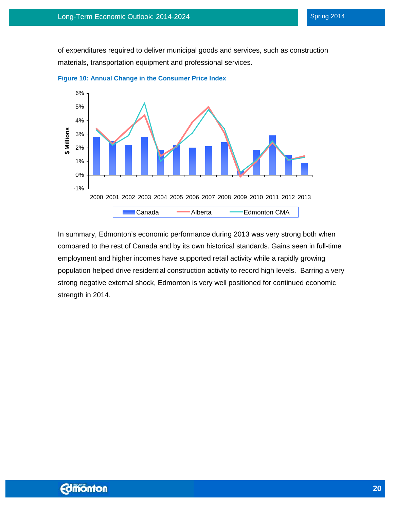of expenditures required to deliver municipal goods and services, such as construction materials, transportation equipment and professional services.





In summary, Edmonton's economic performance during 2013 was very strong both when compared to the rest of Canada and by its own historical standards. Gains seen in full-time employment and higher incomes have supported retail activity while a rapidly growing population helped drive residential construction activity to record high levels. Barring a very strong negative external shock, Edmonton is very well positioned for continued economic strength in 2014.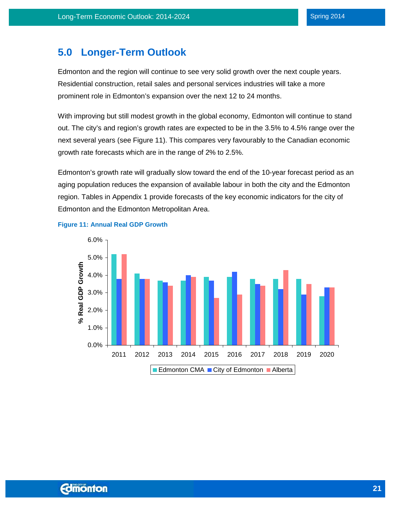### <span id="page-21-0"></span>**5.0 Longer-Term Outlook**

Edmonton and the region will continue to see very solid growth over the next couple years. Residential construction, retail sales and personal services industries will take a more prominent role in Edmonton's expansion over the next 12 to 24 months.

With improving but still modest growth in the global economy, Edmonton will continue to stand out. The city's and region's growth rates are expected to be in the 3.5% to 4.5% range over the next several years (see Figure 11). This compares very favourably to the Canadian economic growth rate forecasts which are in the range of 2% to 2.5%.

Edmonton's growth rate will gradually slow toward the end of the 10-year forecast period as an aging population reduces the expansion of available labour in both the city and the Edmonton region. Tables in Appendix 1 provide forecasts of the key economic indicators for the city of Edmonton and the Edmonton Metropolitan Area.



#### **Figure 11: Annual Real GDP Growth**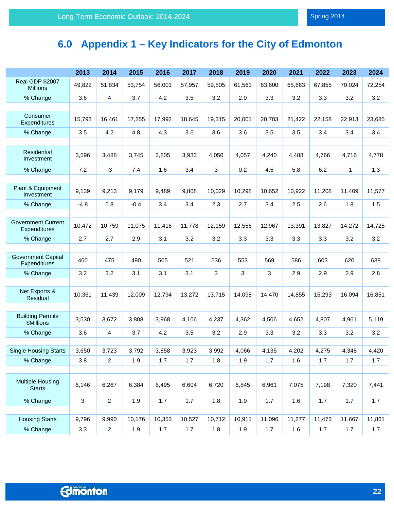# <span id="page-22-0"></span>**6.0 Appendix 1 – Key Indicators for the City of Edmonton**

|                                           | 2013   | 2014           | 2015   | 2016   | 2017   | 2018   | 2019   | 2020   | 2021   | 2022   | 2023   | 2024   |
|-------------------------------------------|--------|----------------|--------|--------|--------|--------|--------|--------|--------|--------|--------|--------|
| <b>Real GDP \$2007</b><br><b>Millions</b> | 49,822 | 51,834         | 53,754 | 56,001 | 57,957 | 59,805 | 61,561 | 63,600 | 65,663 | 67,855 | 70,024 | 72,254 |
| % Change                                  | 3.6    | $\overline{4}$ | 3.7    | 4.2    | 3.5    | 3.2    | 2.9    | 3.3    | 3.2    | 3.3    | 3.2    | 3.2    |
|                                           |        |                |        |        |        |        |        |        |        |        |        |        |
| Consumer<br>Expenditures                  | 15,793 | 16,461         | 17,255 | 17,992 | 18,645 | 19,315 | 20,001 | 20,703 | 21,422 | 22,158 | 22,913 | 23,685 |
| % Change                                  | 3.5    | 4.2            | 4.8    | 4.3    | 3.6    | 3.6    | 3.6    | 3.5    | 3.5    | 3.4    | 3.4    | 3.4    |
|                                           |        |                |        |        |        |        |        |        |        |        |        |        |
| Residential<br>Investment                 | 3,596  | 3,488          | 3,745  | 3,805  | 3,933  | 4,050  | 4,057  | 4,240  | 4,488  | 4,766  | 4,716  | 4,778  |
| % Change                                  | 7.2    | $-3$           | 7.4    | 1.6    | 3.4    | 3      | 0.2    | 4.5    | 5.8    | 6.2    | $-1$   | 1.3    |
|                                           |        |                |        |        |        |        |        |        |        |        |        |        |
| Plant & Equipment<br>Investment           | 9,139  | 9,213          | 9,179  | 9,489  | 9,808  | 10,029 | 10,298 | 10,652 | 10,922 | 11,208 | 11,409 | 11,577 |
| % Change                                  | $-4.8$ | 0.8            | $-0.4$ | 3.4    | 3.4    | 2.3    | 2.7    | 3.4    | 2.5    | 2.6    | 1.8    | 1.5    |
|                                           |        |                |        |        |        |        |        |        |        |        |        |        |
| <b>Government Current</b><br>Expenditures | 10,472 | 10,759         | 11,075 | 11,416 | 11,778 | 12,159 | 12,556 | 12,967 | 13,391 | 13,827 | 14,272 | 14,725 |
| % Change                                  | 2.7    | 2.7            | 2.9    | 3.1    | 3.2    | 3.2    | 3.3    | 3.3    | 3.3    | 3.3    | 3.2    | 3.2    |
|                                           |        |                |        |        |        |        |        |        |        |        |        |        |
| <b>Government Capital</b><br>Expenditures | 460    | 475            | 490    | 505    | 521    | 536    | 553    | 569    | 586    | 603    | 620    | 638    |
| % Change                                  | 3.2    | 3.2            | 3.1    | 3.1    | 3.1    | 3      | 3      | 3      | 2.9    | 2.9    | 2.9    | 2.8    |
|                                           |        |                |        |        |        |        |        |        |        |        |        |        |
| Net Exports &<br>Residual                 | 10,361 | 11,439         | 12,009 | 12,794 | 13,272 | 13,715 | 14,098 | 14,470 | 14,855 | 15,293 | 16,094 | 16,851 |
|                                           |        |                |        |        |        |        |        |        |        |        |        |        |
| <b>Building Permits</b><br>\$Millions     | 3,530  | 3,672          | 3,808  | 3,968  | 4,106  | 4,237  | 4,362  | 4,506  | 4,652  | 4,807  | 4,961  | 5,119  |
| % Change                                  | 3.6    | 4              | 3.7    | 4.2    | 3.5    | 3.2    | 2.9    | 3.3    | 3.2    | 3.3    | 3.2    | 3.2    |
|                                           |        |                |        |        |        |        |        |        |        |        |        |        |
| <b>Single Housing Starts</b>              | 3,650  | 3,723          | 3,792  | 3,858  | 3,923  | 3,992  | 4,066  | 4,135  | 4,202  | 4,275  | 4,348  | 4,420  |
| % Change                                  | 3.8    | $\overline{c}$ | 1.9    | 1.7    | 1.7    | 1.8    | 1.9    | 1.7    | 1.6    | 1.7    | 1.7    | 1.7    |
|                                           |        |                |        |        |        |        |        |        |        |        |        |        |
| <b>Multiple Housing</b><br><b>Starts</b>  | 6,146  | 6,267          | 6,384  | 6,495  | 6,604  | 6,720  | 6,845  | 6,961  | 7,075  | 7,198  | 7,320  | 7,441  |
| % Change                                  | 3      | $\sqrt{2}$     | 1.9    | 1.7    | $1.7$  | 1.8    | 1.9    | 1.7    | 1.6    | 1.7    | 1.7    | 1.7    |
|                                           |        |                |        |        |        |        |        |        |        |        |        |        |
| <b>Housing Starts</b>                     | 9,796  | 9,990          | 10,176 | 10,353 | 10,527 | 10,712 | 10,911 | 11,096 | 11,277 | 11,473 | 11,667 | 11,861 |
| % Change                                  | 3.3    | $\overline{a}$ | 1.9    | 1.7    | 1.7    | 1.8    | 1.9    | 1.7    | 1.6    | 1.7    | 1.7    | 1.7    |
|                                           |        |                |        |        |        |        |        |        |        |        |        |        |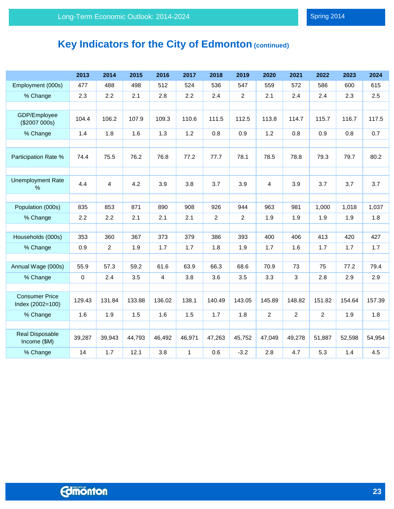# **Key Indicators for the City of Edmonton (continued)**

|                                           | 2013   | 2014           | 2015   | 2016           | 2017         | 2018           | 2019           | 2020           | 2021           | 2022           | 2023   | 2024   |
|-------------------------------------------|--------|----------------|--------|----------------|--------------|----------------|----------------|----------------|----------------|----------------|--------|--------|
| Employment (000s)                         | 477    | 488            | 498    | 512            | 524          | 536            | 547            | 559            | 572            | 586            | 600    | 615    |
| % Change                                  | 2.3    | 2.2            | 2.1    | 2.8            | 2.2          | 2.4            | $\overline{2}$ | 2.1            | 2.4            | 2.4            | 2.3    | 2.5    |
|                                           |        |                |        |                |              |                |                |                |                |                |        |        |
| GDP/Employee<br>(\$2007 000s)             | 104.4  | 106.2          | 107.9  | 109.3          | 110.6        | 111.5          | 112.5          | 113.8          | 114.7          | 115.7          | 116.7  | 117.5  |
| % Change                                  | 1.4    | 1.8            | 1.6    | 1.3            | 1.2          | 0.8            | 0.9            | 1.2            | 0.8            | 0.9            | 0.8    | 0.7    |
|                                           |        |                |        |                |              |                |                |                |                |                |        |        |
| Participation Rate %                      | 74.4   | 75.5           | 76.2   | 76.8           | 77.2         | 77.7           | 78.1           | 78.5           | 78.8           | 79.3           | 79.7   | 80.2   |
|                                           |        |                |        |                |              |                |                |                |                |                |        |        |
| <b>Unemployment Rate</b><br>$\%$          | 4.4    | 4              | 4.2    | 3.9            | 3.8          | 3.7            | 3.9            | 4              | 3.9            | 3.7            | 3.7    | 3.7    |
|                                           |        |                |        |                |              |                |                |                |                |                |        |        |
| Population (000s)                         | 835    | 853            | 871    | 890            | 908          | 926            | 944            | 963            | 981            | 1,000          | 1,018  | 1,037  |
| % Change                                  | 2.2    | 2.2            | 2.1    | 2.1            | 2.1          | $\overline{2}$ | $\overline{2}$ | 1.9            | 1.9            | 1.9            | 1.9    | 1.8    |
|                                           |        |                |        |                |              |                |                |                |                |                |        |        |
| Households (000s)                         | 353    | 360            | 367    | 373            | 379          | 386            | 393            | 400            | 406            | 413            | 420    | 427    |
| % Change                                  | 0.9    | $\overline{2}$ | 1.9    | 1.7            | 1.7          | 1.8            | 1.9            | 1.7            | 1.6            | 1.7            | 1.7    | 1.7    |
|                                           |        |                |        |                |              |                |                |                |                |                |        |        |
| Annual Wage (000s)                        | 55.9   | 57.3           | 59.2   | 61.6           | 63.9         | 66.3           | 68.6           | 70.9           | 73             | 75             | 77.2   | 79.4   |
| % Change                                  | 0      | 2.4            | 3.5    | $\overline{4}$ | 3.8          | 3.6            | 3.5            | 3.3            | 3              | 2.8            | 2.9    | 2.9    |
|                                           |        |                |        |                |              |                |                |                |                |                |        |        |
| <b>Consumer Price</b><br>Index (2002=100) | 129.43 | 131.84         | 133.88 | 136.02         | 138.1        | 140.49         | 143.05         | 145.89         | 148.82         | 151.82         | 154.64 | 157.39 |
| % Change                                  | 1.6    | 1.9            | 1.5    | 1.6            | 1.5          | 1.7            | 1.8            | $\overline{2}$ | $\overline{c}$ | $\overline{2}$ | 1.9    | 1.8    |
|                                           |        |                |        |                |              |                |                |                |                |                |        |        |
| Real Disposable<br>Income (\$M)           | 39,287 | 39,943         | 44,793 | 46,492         | 46,971       | 47,263         | 45,752         | 47,049         | 49,278         | 51,887         | 52,598 | 54,954 |
| % Change                                  | 14     | 1.7            | 12.1   | 3.8            | $\mathbf{1}$ | 0.6            | $-3.2$         | 2.8            | 4.7            | 5.3            | 1.4    | 4.5    |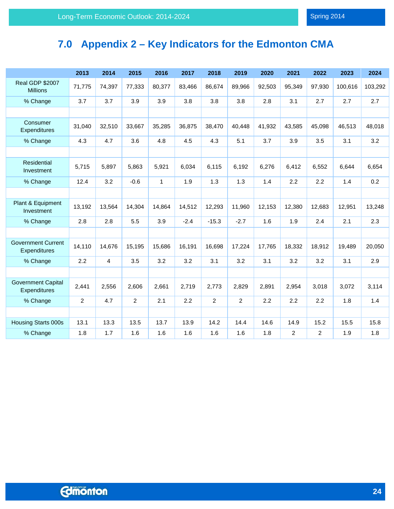# <span id="page-24-0"></span>**7.0 Appendix 2 – Key Indicators for the Edmonton CMA**

|                                           | 2013           | 2014   | 2015           | 2016         | 2017   | 2018           | 2019           | 2020   | 2021   | 2022           | 2023    | 2024    |
|-------------------------------------------|----------------|--------|----------------|--------------|--------|----------------|----------------|--------|--------|----------------|---------|---------|
| <b>Real GDP \$2007</b><br><b>Millions</b> | 71,775         | 74,397 | 77,333         | 80,377       | 83,466 | 86,674         | 89,966         | 92,503 | 95,349 | 97,930         | 100,616 | 103,292 |
| % Change                                  | 3.7            | 3.7    | 3.9            | 3.9          | 3.8    | 3.8            | 3.8            | 2.8    | 3.1    | 2.7            | 2.7     | 2.7     |
|                                           |                |        |                |              |        |                |                |        |        |                |         |         |
| Consumer<br>Expenditures                  | 31,040         | 32,510 | 33,667         | 35,285       | 36,875 | 38,470         | 40,448         | 41,932 | 43,585 | 45,098         | 46,513  | 48,018  |
| % Change                                  | 4.3            | 4.7    | 3.6            | 4.8          | 4.5    | 4.3            | 5.1            | 3.7    | 3.9    | 3.5            | 3.1     | 3.2     |
|                                           |                |        |                |              |        |                |                |        |        |                |         |         |
| <b>Residential</b><br>Investment          | 5,715          | 5,897  | 5,863          | 5,921        | 6,034  | 6,115          | 6,192          | 6,276  | 6,412  | 6,552          | 6,644   | 6,654   |
| % Change                                  | 12.4           | 3.2    | $-0.6$         | $\mathbf{1}$ | 1.9    | 1.3            | 1.3            | 1.4    | 2.2    | 2.2            | 1.4     | 0.2     |
|                                           |                |        |                |              |        |                |                |        |        |                |         |         |
| Plant & Equipment<br>Investment           | 13,192         | 13,564 | 14,304         | 14,864       | 14,512 | 12,293         | 11,960         | 12,153 | 12,380 | 12,683         | 12,951  | 13,248  |
| % Change                                  | 2.8            | 2.8    | 5.5            | 3.9          | $-2.4$ | $-15.3$        | $-2.7$         | 1.6    | 1.9    | 2.4            | 2.1     | 2.3     |
|                                           |                |        |                |              |        |                |                |        |        |                |         |         |
| <b>Government Current</b><br>Expenditures | 14,110         | 14,676 | 15,195         | 15,686       | 16,191 | 16,698         | 17,224         | 17,765 | 18,332 | 18,912         | 19,489  | 20,050  |
| % Change                                  | 2.2            | 4      | 3.5            | 3.2          | 3.2    | 3.1            | 3.2            | 3.1    | 3.2    | 3.2            | 3.1     | 2.9     |
|                                           |                |        |                |              |        |                |                |        |        |                |         |         |
| <b>Government Capital</b><br>Expenditures | 2,441          | 2,556  | 2,606          | 2,661        | 2,719  | 2,773          | 2,829          | 2,891  | 2,954  | 3,018          | 3,072   | 3,114   |
| % Change                                  | $\overline{c}$ | 4.7    | $\overline{2}$ | 2.1          | 2.2    | $\overline{2}$ | $\overline{2}$ | 2.2    | 2.2    | 2.2            | 1.8     | 1.4     |
|                                           |                |        |                |              |        |                |                |        |        |                |         |         |
| Housing Starts 000s                       | 13.1           | 13.3   | 13.5           | 13.7         | 13.9   | 14.2           | 14.4           | 14.6   | 14.9   | 15.2           | 15.5    | 15.8    |
| % Change                                  | 1.8            | 1.7    | 1.6            | 1.6          | 1.6    | 1.6            | 1.6            | 1.8    | 2      | $\overline{2}$ | 1.9     | 1.8     |